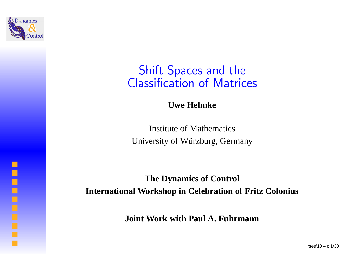

### Shift Spaces and theClassification of Matrices

**Uwe Helmke**

Institute of MathematicsUniversity of Wurzburg, Germany ¨

**The Dynamics of ControlInternational Workshop in Celebration of Fritz Colonius**

**Joint Work with Paul A. Fuhrmann**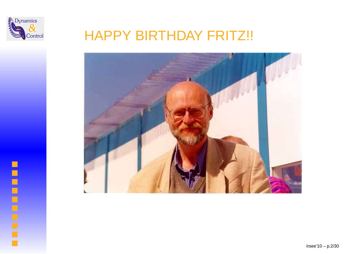

# HAPPY BIRTHDAY FRITZ!!



**Concerned**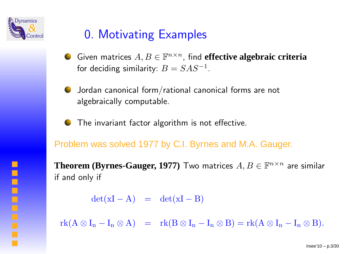

o

## 0. Motivating Examples

- Given matrices  $A,B\in{\mathbb F}^n$ for deciding similarity:  $B= SAS^{-1}$ ×n, find **effective algebraic criteria**.
- Jordan canonical form/rational canonical forms are notalgebraically computable.
- The invariant factor algorithm is not effective.

Problem was solved 1977 by C.I. Byrnes and M.A. Gauger.

 $\bf Theorem~({\bf Byrnes-Gauger,1977})$   $\bf Two~matrices~ $A,B\in\mathbb{F}^{n\times n}$  are similar$ if and only if

> $\det(\mathbf{xI}% )\mathbf{1}_{\mathrm{Cov}}\cdot\mathbf{1}_{\mathrm{Cov}}\cdot\mathbf{1}_{\mathrm{Cov}}\cdot\mathbf{1}_{\mathrm{Cov}}\cdot\mathbf{1}_{\mathrm{Cov}}\cdot\mathbf{1}_{\mathrm{Cov}}\cdot\mathbf{1}_{\mathrm{Cov}}\cdot\mathbf{1}_{\mathrm{Cov}}\cdot\mathbf{1}_{\mathrm{Cov}}$  $(-A) = det(xI)$  $-\mathbf{B})$

 $\mathrm{rk}(A\otimes I_n-I_n\otimes A) = \mathrm{rk}(B\otimes I_n-I_n\otimes B) = \mathrm{rk}(A\otimes I_n-I_n\otimes B).$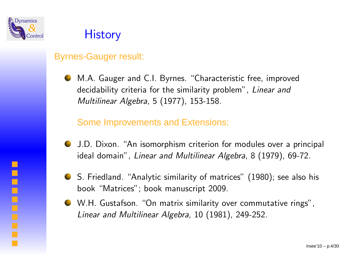

### Byrnes-Gauger result:

M.A. Gauger and C.I. Byrnes. "Characteristic free, improveddecidability criteria for the similarity problem", Linear and Multilinear Algebra, <sup>5</sup> (1977), 153-158.

Some Improvements and Extensions:

- J.D. Dixon. "An isomorphism criterion for modules over <sup>a</sup> principal ideal domain", Linear and Multilinear Algebra, 8 (1979), 69-72.
- S. Friedland. "Analytic similarity of matrices" (1980); see also hisbook "Matrices"; book manuscript 2009.
- W.H. Gustafson. "On matrix similarity over commutative rings", Linear and Multilinear Algebra, <sup>10</sup> (1981), 249-252.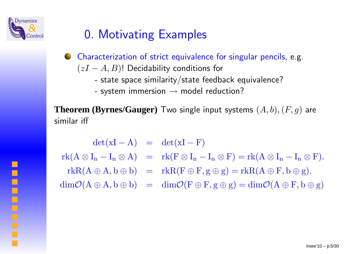

 $\blacksquare$ 

 $\Box$ 

## 0. Motivating Examples

- Characterization of strict equivalence for singular pencils, e.g.  $(zI$  $(-A, B)$ ! Decidability conditions for
	- state space similarity/state feedback equivalence?
	- system immersion  $\rightarrow$  model reduction?

 ${\bf Theorem~}$  ( ${\bf Byrnes/Gauger)}$   ${\bf Two}$  single input systems  $(A, b), (F, g)$  are similar iff

 $\det(\mathbf{xI}% )\mathbf{1}_{\mathrm{Cov}}\cdot\mathbf{1}_{\mathrm{Cov}}\cdot\mathbf{1}_{\mathrm{Cov}}\cdot\mathbf{1}_{\mathrm{Cov}}\cdot\mathbf{1}_{\mathrm{Cov}}\cdot\mathbf{1}_{\mathrm{Cov}}\cdot\mathbf{1}_{\mathrm{Cov}}\cdot\mathbf{1}_{\mathrm{Cov}}\cdot\mathbf{1}_{\mathrm{Cov}}$  $(-A) = det(xI)$  $- F)$  $\mathrm{rk}(A\otimes I_n-I_n\otimes A) = \mathrm{rk}(F\otimes I_n-I_n\otimes F) = \mathrm{rk}(A\otimes I_n-I_n\otimes F).$  $r\mathbf{k}R(A\oplus A, \mathbf{b}\oplus \mathbf{b}) = \mathbf{r}\mathbf{k}R(\mathbf{F}\oplus \mathbf{F}, \mathbf{g}\oplus \mathbf{g}) = \mathbf{r}\mathbf{k}R(A\oplus \mathbf{F}, \mathbf{b}\oplus \mathbf{g}).$  $\dim \mathcal{O}(A \oplus A, b \oplus b) = \dim \mathcal{O}(F \oplus F, g \oplus g) = \dim \mathcal{O}(A \oplus F, b \oplus g)$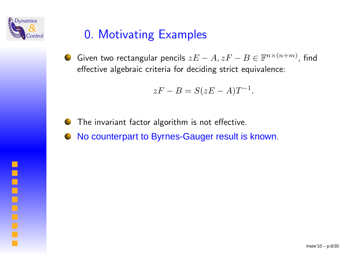

## 0. Motivating Examples

Given two rectangular pencils  $z\bar{E}$  effective algebraic criteria for deciding strict equivalence:  $A, zF$  $- \, B \in {\mathbb F}^n$  $n\times(n)$  $\,^{+m)}$ , find

$$
zF - B = S(zE - A)T^{-1}.
$$

The invariant factor algorithm is not effective.

No counterpart to Byrnes-Gauger result is known.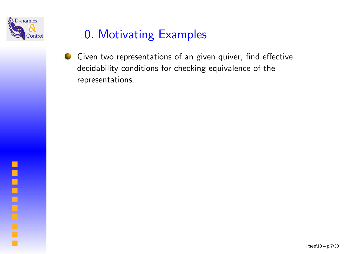

## 0. Motivating Examples

Given two representations of an given quiver, find effective decidability conditions for checking equivalence of therepresentations.

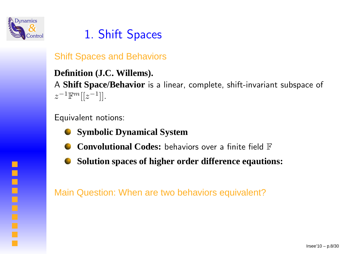

# 1. Shift Spaces

Shift Spaces and Behaviors

**Definition (J.C. Willems).** A **Shift Space/Behavior** is <sup>a</sup> linear, complete, shift-invariant subspace of  $z^{-1}\mathbb{F}^m[[z^{-1}]].$ 

Equivalent notions:

- **Symbolic Dynamical System**
- **Convolutional Codes:** behaviors over <sup>a</sup> finite field <sup>F</sup>
- **Solution spaces of higher order difference eqautions:**

Main Question: When are two behaviors equivalent?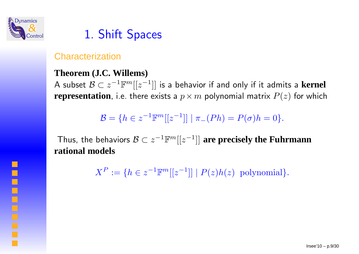

 $\Box$ 

## 1. Shift Spaces

### **Characterization**

#### **Theorem (J.C. Willems)**

<sup>A</sup> subset <sup>B</sup> <sup>⊂</sup> <sup>z</sup><sup>−</sup><sup>1</sup>Fm[[z<sup>−</sup><sup>1</sup>]] is <sup>a</sup> behavior if and only if it admits <sup>a</sup> **kernel**  $\bold{representation}$ , i.e. there exists a  $p\times m$  polynomial matrix  $P(z)$  for which

 $B = \{h \in z^{-1} \mathbb{F}^m[[z^{-1}]] \mid \pi_-(Ph) = P(\sigma)h = 0\}.$ 

Thus, the behaviors <sup>B</sup> <sup>⊂</sup> <sup>z</sup><sup>−</sup><sup>1</sup>Fm[[z<sup>−</sup><sup>1</sup>]] **are precisely the Fuhrmann rational models**

> $X^{\pmb{P}} \vcentcolon=$  $=\{h \in z^{-1} \mathbb{F}^m[[z^{-1}]] \mid P(z)h(z) \text{ polynomial}\}.$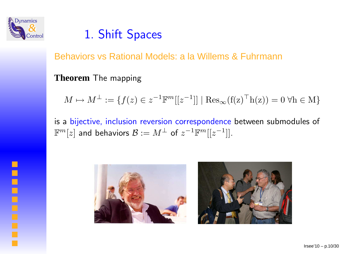

**Control** 

## 1. Shift Spaces

Behaviors vs Rational Models: <sup>a</sup> la Willems & Fuhrmann

**Theorem** The mapping

 $M \mapsto M^{\perp} := \{f(z) \in z^{-1} \mathbb{F}^m[[z^{-1}]] \mid \text{Res}_{\infty}(\mathbf{f}(\mathbf{z})^{\top} \mathbf{h}(\mathbf{z})) = 0 \,\forall \mathbf{h} \in \mathbf{M}\}\$ 

is <sup>a</sup> bijective, inclusion reversion correspondence between submodules of  $\mathbb{F}^m[z]$  and behaviors  $\mathcal{B}:=M^\perp$  of  $z^{-1}\mathbb{F}^m[[z^{-1}]].$ 



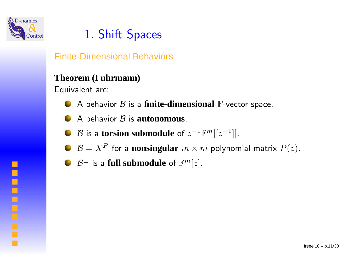

## 1. Shift Spaces

Finite-Dimensional Behaviors

#### **Theorem (Fuhrmann)**

Equivalent are:

- <sup>A</sup> behavior <sup>B</sup> is <sup>a</sup> **finite-dimensional** <sup>F</sup>-vector space.
- A behavior  $\mathcal B$  is **autonomous**.
- $\mathcal{B}$  is a **torsion submodule** of  $z^{-1}\mathbb{F}^m[[z^{-1}]].$
- $\mathcal{B} = X^P$  for a **nonsingular**  $m \times m$  polynomial matrix  $P(z)$ .
- $\mathcal{B}^\perp$  is a **full submodule** of  $\mathbb{F}^m[z].$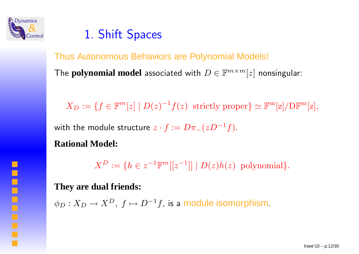

 $\blacksquare$ 

i

### 1. Shift Spaces

### Thus Autonomous Behaviors are Polynomial Models!

The  $\mathbf{polynomial \ model}$  associated with  $D \in \mathbb{F}^{m \times m}[z]$  nonsingular:

 $X_D := \{f \in \mathbb{F}^m[z] \mid D(z)^{-1}f(z) \text{ strictly proper}\} \simeq \mathbb{F}^m[z]/\text{DF}^m[z],$ 

with the module structure  $z\cdot f:=D\pi_-(zD^{-1}f).$ 

#### **Rational Model:**

 $X^{\boldsymbol{D}} \coloneqq$  $=\{h \in z^{-1}\mathbb{F}^m[[z^{-1}]] \mid D(z)h(z) \text{ polynomial}\}.$ 

**They are dual friends:**

 $\phi_D: X_D \rightarrow X^D, \ f \mapsto D^{-1}f,$  is a module isomorphism.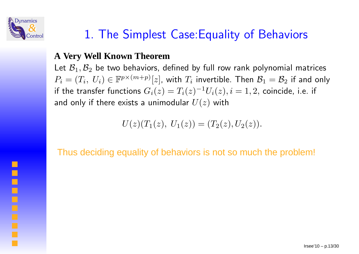

# 1. The Simplest Case:Equality of Behaviors

### **A Very Well Known Theorem**

Let  $\mathcal{B}_1, \mathcal{B}_2$  be two behaviors,  $P_i=(T_i, \; U_i)\in \mathbb{F}^{p\times (m+p)}[z]$ , with  $T_i$  invertible. Then  $\mathcal{B}_1=\mathcal{B}_2$  $\epsilon_2$  be two behaviors, defined by full row rank polynomial matrices if the transfer functions  $G_i(z) = T_i(z)^{-1}U_i(z), i=1,2,$  coin $\epsilon$  $\frac{1}{2}$  if and only and only if there exists a unimodular  $U(z)$  with  $^{1}U_{i}(z),i=1,2,$  coincide, i.e. if

$$
U(z)(T_1(z), U_1(z)) = (T_2(z), U_2(z)).
$$

Thus deciding equality of behaviors is not so much the problem!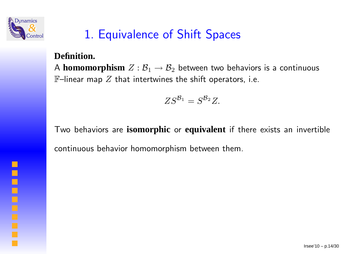

# 1. Equivalence of Shift Spaces

### **Definition.**

A **homomorphism**Z : <sup>B</sup>  ${\mathbb F}$ –linear map  $Z$  that intertwines the shift operators, i.e. 1 $\mathfrak{p}_1 \rightarrow \mathcal{B}_2$  $\rm _2$  between two behaviors is a continuous

$$
ZS^{\mathcal{B}_1}=S^{\mathcal{B}_2}Z.
$$

Two behaviors are **isomorphic** or **equivalent** if there exists an invertible continuous behavior homomorphism between them.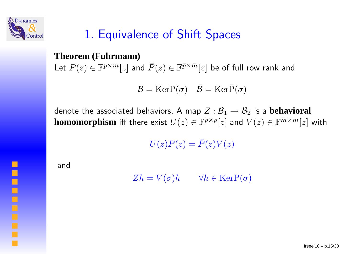

**Contract** 

## 1. Equivalence of Shift Spaces

### **Theorem (Fuhrmann)**

Let  $P(z)\in\mathbb{F}^{p\times m}[z]$  ar  $^{\times m}[z]$  and  $\bar{P}(z)\in\mathbb{F}^{\bar{p}}$  $\times \bar{m}$  ${}^{\bar{m}}[z]$  be of full row rank and

$$
\mathcal{B} = \text{KerP}(\sigma) \quad \bar{\mathcal{B}} = \text{KerP}(\sigma)
$$

denote the associated behaviors. A map  $Z:\mathcal{B}$ **homomorphism** iff there exist  $U(z) \in \mathbb{F}^{\bar{p}}$ 1 $\frac{1}{1} \rightarrow \mathcal{B}$ 2 $\mathbf{z}_2$  is a  $\mathbf{b}$ ehavioral  ${}^{\times p}[z]$  and  $V(z) \in \mathbb{F}^{\bar{m}}$  $\times^m[z]$  with

 $U(z)P(z)=\bar{P}(z)V(z)$ 

and

 $Zh = V(\sigma)h \quad\quad \forall h \in \text{KerP}(\sigma)$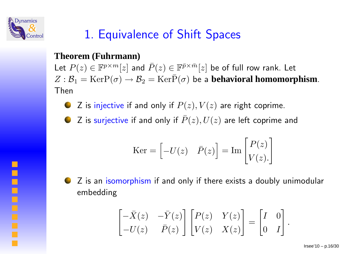

 $\Box$ 

# 1. Equivalence of Shift Spaces

### **Theorem (Fuhrmann)**

Let  $P(z)\in\mathbb{F}^{p\times m}[z]$  ar  $Z : \mathcal{B}_1 = \text{KerP}(\sigma) \rightarrow \mathcal{B}_2 = \text{Ker}\bar{P}$  $^{\times m}[z]$  and  $\bar{P}(z)\in\mathbb{F}^{\bar{p}}$  $\times \bar{m}$  ${}^{\bar{m}}[z]$  be of full row rank. Let 1 $\beta_1 = \text{KerP}(\sigma) \rightarrow \mathcal{B}_2$ 2 $\dot{P}_2 = \text{Ker}\bar{P}$  $\sigma)$  be a **behavioral homomorphism**. Then

Z is injective if and only if  $P(z),V(z)$  are right coprime.

Z is surjective if and only if  $\bar{P}(z), U(z)$  are left coprime and

$$
\text{Ker} = \begin{bmatrix} -U(z) & \bar{P}(z) \end{bmatrix} = \text{Im} \begin{bmatrix} P(z) \\ V(z) \end{bmatrix}
$$



$$
\begin{bmatrix} -\bar{X}(z) & -\bar{Y}(z) \\ -U(z) & \bar{P}(z) \end{bmatrix} \begin{bmatrix} P(z) & Y(z) \\ V(z) & X(z) \end{bmatrix} = \begin{bmatrix} I & 0 \\ 0 & I \end{bmatrix}.
$$

 $Irsee'10 - p.16/30$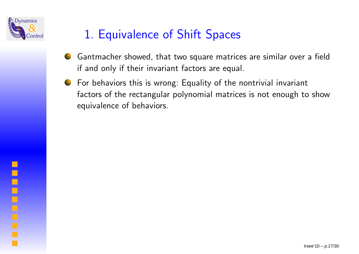

# 1. Equivalence of Shift Spaces

- Gantmacher showed, that two square matrices are similar over <sup>a</sup> fieldif and only if their invariant factors are equal.
- For behaviors this is wrong: Equality of the nontrivial invariantfactors of the rectangular polynomial matrices is not enoug<sup>h</sup> to showequivalence of behaviors.

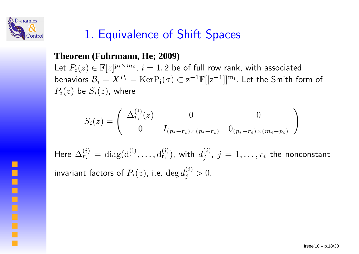

 $\blacksquare$ 

 $\Box$ 

## 1. Equivalence of Shift Spaces

#### **Theorem (Fuhrmann, He; 2009)**

Let  $P_i(z) \in \mathbb{F}[z]^{p_i \times m_i}$ ,  $i = 1, 2$  be of full row rank, with associated behaviors  $\mathcal{B}_i = X^{P_i} = \text{KerP}_{\text{i}}(\sigma) \subset \text{z}^{-1}\mathbb{F}[[\text{z}^{-1}]]^{\text{m}_\text{i}}$ . Let the Smith f  $P_i(z)$  be  $S_i(z)$ , where  $^1\mathbb{F}[[\mathrm{z}^{-1}]]^{\mathrm{m_i}}.$  Let the Smith form of

$$
S_i(z) = \begin{pmatrix} \Delta_{r_i}^{(i)}(z) & 0 & 0 \\ 0 & I_{(p_i - r_i) \times (p_i - r_i)} & 0_{(p_i - r_i) \times (m_i - p_i)} \end{pmatrix}
$$

Here  $\Delta_{r_i}^{(i)} = \text{diag}(\text{d}_1^{(i)}, \ldots, \text{d}_i)$  $\mathrm{d}_{\mathrm{r_{i}}}^{(\mathrm{i})}$ ), with  $d_{j}^{(i)}$ ,  $j=1,\ldots,r_{i}$  the nonconstant invariant factors of  $P_i(z)$ , i.e.  $\deg d_j^{(i)}>0.$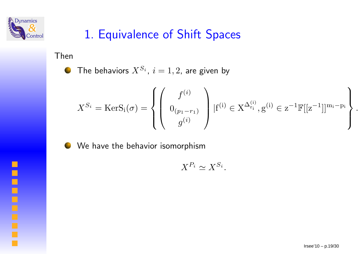

## 1. Equivalence of Shift Spaces

Then

The behaviors  $X^{S_i}$ ,  $i=1,2$ , are given by 

$$
X^{S_i} = \text{KerS}_i(\sigma) = \left\{ \begin{pmatrix} f^{(i)} \\ 0_{(p_1 - r_1)} \\ g^{(i)} \end{pmatrix} | f^{(i)} \in X^{\Delta_{r_i}^{(i)}}, g^{(i)} \in Z^{-1} \mathbb{F}[[Z^{-1}]]^{m_i - p_i} \right\}
$$



We have the behavior isomorphism

$$
X^{P_i} \simeq X^{S_i}.
$$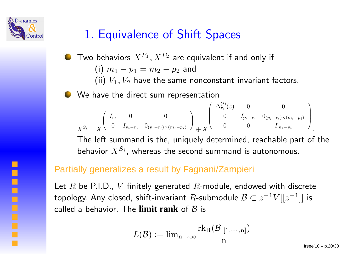

## 1. Equivalence of Shift Spaces

- Two behaviors  $X^{P_1}, X^{P_2}$  are equivalent if and only if  $(\mathsf{i})\hspace{0.1cm} m_{1}-p_{1}=m_{2}-p_{2}$  and (ii)  $V_1, V_2$  have the same nonconstant invariant factors.
- We have the direct sum representation

$$
X^{S_i} = X \begin{pmatrix} I_{r_i} & 0 & 0 \ 0 & I_{p_i - r_i} & 0_{(p_i - r_i) \times (m_i - p_i)} \end{pmatrix} \oplus X \begin{pmatrix} \Delta_{r_i}^{(i)}(z) & 0 & 0 \ 0 & I_{p_i - r_i} & 0_{(p_i - r_i) \times (m_i - p_i)} \ 0 & 0 & I_{m_i - p_i} \end{pmatrix}
$$

 The left summand is the, uniquely determined, reachable part of thebehavior  $X^{S_i}$ , whereas the second summand is autonomous.

### Partially generalizes <sup>a</sup> result by Fagnani/Zampieri

Let  $R$  be P.I.D ,  $V$  finitely generated  $R$ -module, endowed with discrete topology. Any closed, shift-invariant  $R$ -submodule  $\mathcal{B}\subset z^{-1}V[[z^{-1}]]$  is  ${}^{1}V[[z^{-1}]]$  is called <sup>a</sup> behavior. The **limit rank** of B is

$$
L(\mathcal{B}):=\text{lim}_{\text{n}\to\infty}\frac{\text{rk}_{\text{R}}(\mathcal{B}|_{[1,\cdots,\text{n}]})}{\text{n}}
$$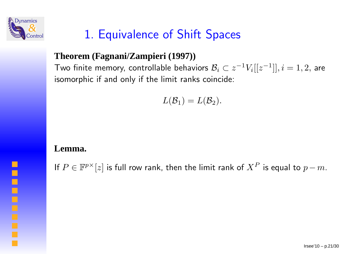

# 1. Equivalence of Shift Spaces

### **Theorem (Fagnani/Zampieri (1997))**

Two finite memory, controllable behaviors  $\mathcal{B}_i \subset z^{-1}$  isomorphic if and only if the limit ranks coincide:  ${}^{1}V_{i}[[z^{-1}]],i=1,2,$  are

$$
L(\mathcal{B}_1)=L(\mathcal{B}_2).
$$

#### **Lemma.**

If  $P\in\mathbb{F}^{p\times}[z]$  is full row rank, then the limit rank of  $X^P$  is equal to  $p-m.$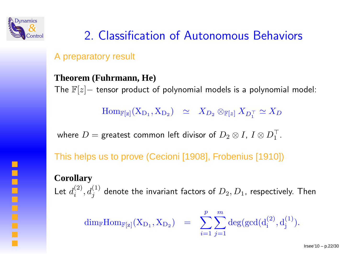

# 2. Classification of Autonomous Behaviors

A preparatory result

### **Theorem (Fuhrmann, He)**

The  $\mathbb{F}[z]-$  tensor product of polynomial models is a polynomial model:

 $\operatorname{Hom}_{\mathbb{F}[\operatorname{z}]}(\operatorname{X}_{\operatorname{D}_1}, \operatorname{X}_{\operatorname{D}_2}) \;\;\simeq\;\; X_{D_2} \otimes_{\mathbb{F}[\operatorname{z}]} X_{D_1^\top}$ 1 $\simeq X_D$ 

where  $D=$  greatest common left divisor of  $D_2\otimes I$ ,  $I\otimes D_1^\top$ 1.

This helps us to prove (Cecioni [1908], Frobenius [1910])

### **Corollary**

Let  $d_{\cdot}^{(2)}$  , (  $d_{i}^{\left( 2\right) },d_{j}^{\left( 1\right) }$  denote the invariant factors of  $D_{2},D_{1}$ , respectively. Then

$$
\mathrm{dim}_{\mathbb{F}} \mathrm{Hom}_{\mathbb{F}[\mathbf{z}]}(X_{D_1}, X_{D_2}) \;\; = \;\; \sum_{i=1}^p \sum_{j=1}^m \mathrm{deg}(\mathrm{gcd}(d_i^{(2)}, d_j^{(1)}).
$$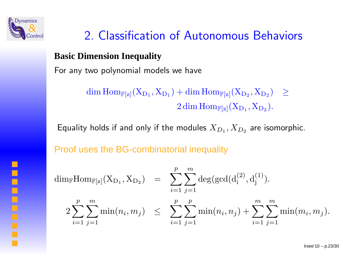

 $\blacksquare$ 

# 2. Classification of Autonomous Behaviors

### **Basic Dimension Inequality**

For any two polynomial models we have

 $\dim\mathrm{Hom}_{\mathbb{F}[\mathrm{z}]}(\mathrm{X}_{\mathrm{D}_1}, \mathrm{X}_{\mathrm{D}_1}) + \dim\mathrm{Hom}_{\mathbb{F}[\mathrm{z}]}(\mathrm{X}_{\mathrm{D}_2}, \mathrm{X}_{\mathrm{D}_2}) \geq$  $2\dim\mathrm{Hom}_{\mathbb{F}[\mathrm{z}]}(\mathrm{X}_{\mathrm{D}_1},\mathrm{X}_{\mathrm{D}_2}).$ 

Equality holds if and only if the modules  $X_{D_1}, X_{D_2}$  are isomorphic.

Proof uses the BG-combinatorial inequality

$$
\dim_{\mathbb{F}}\mathrm{Hom}_{\mathbb{F}[z]}(X_{D_1}, X_{D_2}) = \sum_{i=1}^p \sum_{j=1}^m \deg(\gcd(d_i^{(2)}, d_j^{(1)})).
$$
  

$$
2\sum_{i=1}^p \sum_{j=1}^m \min(n_i, m_j) \le \sum_{i=1}^p \sum_{j=1}^p \min(n_i, n_j) + \sum_{i=1}^m \sum_{j=1}^m \min(m_i, m_j).
$$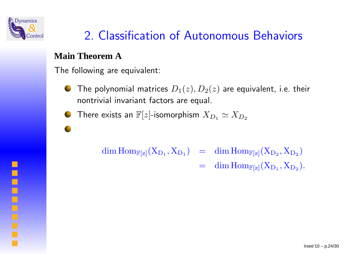

# 2. Classification of Autonomous Behaviors

### **Main Theorem A**

The following are equivalent:

The polynomial matrices  $D_1(z), D_2(z)$  are equivalent, i.e. their nontrivial invariant factors are equal.

There exists an  $\mathbb{F}[z]$ -isomorphism  $X_{D_1}\simeq X_{D_2}$ 

$$
\begin{array}{lcl} \dim \operatorname{Hom}_{{\mathbb F}[z]}(X_{D_1},X_{D_1}) & = & \dim \operatorname{Hom}_{{\mathbb F}[z]}(X_{D_2},X_{D_2}) \\ \\ & = & \dim \operatorname{Hom}_{{\mathbb F}[z]}(X_{D_1},X_{D_2}). \end{array}
$$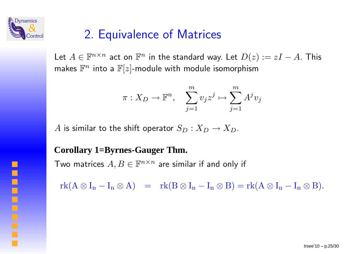

## 2. Equivalence of Matrices

Let  $A\in{\mathbb F}^n$ makes  $\mathbb{F}^n$  into a  $\mathbb{F}[z]$ -module with module isomorphism  $x^{\times n}$  act on  $\mathbb{F}^n$  in the standard way. Let  $D(z) := zI$  $A$ . This

$$
\pi: X_D \to \mathbb{F}^n, \quad \sum_{j=1}^m v_j z^j \mapsto \sum_{j=1}^m A^j v_j
$$

 $A$  is similar to the shift operator  $S_D: X_D \rightarrow X_D.$ 

#### **Corollary 1=Byrnes-Gauger Thm.**

Two matrices  $A,B\in{\mathbb F}^n$  $^{\times n}$  are similar if and only if

 $rk(A \otimes I_n - I_n \otimes A) = rk(B \otimes I_n - I_n \otimes B) = rk(A \otimes I_n - I_n \otimes B).$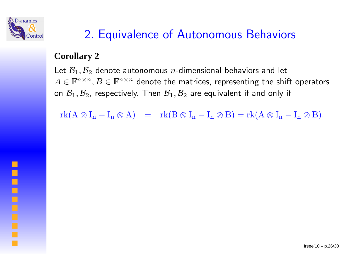

# 2. Equivalence of Autonomous Behaviors

### **Corollary 2**

Let  $\mathcal{B}_1, \mathcal{B}_2$  denote autonomous  $n$ -dimensional behaviors and let  $A\in{\mathbb F}^n$  : on  $\mathcal{B}_1, \mathcal{B}_2$ , respectively. Then  $\mathcal{B}_1, \mathcal{B}_2$  $^{\times n},B\in\mathbb{F}^n$  $^{\times n}$  denote the matrices, representing the shift operators  $\epsilon_2$  are equivalent if and only if

 $\mathrm{rk}(A\otimes I_n-I_n\otimes A) = \mathrm{rk}(B\otimes I_n-I_n\otimes B) = \mathrm{rk}(A\otimes I_n-I_n\otimes B).$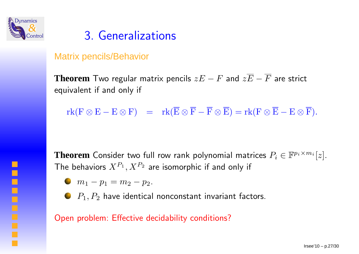

## 3. Generalizations

### Matrix pencils/Behavior

**Theorem** Two regular matrix pencils zE <sup>−</sup> <sup>F</sup> and zE <sup>−</sup> <sup>F</sup> are strict equivalent if and only if

 ${\rm rk}({\rm F}\otimes {\rm E}-{\rm E}\otimes {\rm F})\ \ =\ \ {\rm rk}({\rm E}\otimes {\rm F}-{\rm F}\otimes {\rm E})={\rm rk}({\rm F}\otimes {\rm E}-{\rm E}\otimes {\rm F}).$ 

**Theorem** Consider two full row rank polynomial matrices  $P_i \in \mathbb{F}^{p_i \times m_i}[z]$ .<br>The behaviors  $X^{P_1}, X^{P_2}$  are isomorphic if and only if The behaviors  $X^{P_1}, X^{P_2}$  are isomorphic if and only if

- $m_1 p_1 = m_2 p_2.$
- $P_1, P_2$  have identical nonconstant invariant factors.

Open problem: Effective decidability conditions?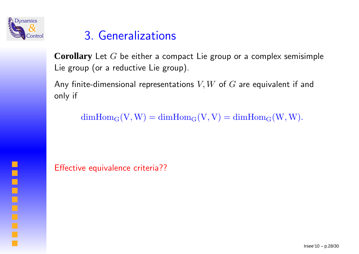

## 3. Generalizations

**Corollary** Let <sup>G</sup> be either <sup>a</sup> compact Lie group or <sup>a</sup> complex semisimple Lie group (or <sup>a</sup> reductive Lie group).

Any finite-dimensional representations  $V,W$  of  $G$  are equivalent if and<br>enly if only if

 $dimHom_G(V, W) = dimHom_G(V, V) = dimHom_G(W, W).$ 

Effective equivalence criteria??

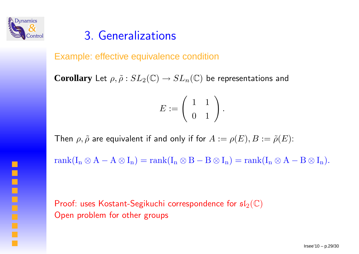

### 3. Generalizations

Example: effective equivalence condition

 $\bf Corollary$  Let  $\rho, \tilde{\rho}: SL_2(\mathbb{C}) \to SL_n(\mathbb{C})$  be representations and

$$
E:=\left(\begin{array}{cc} 1 & 1 \\ 0 & 1 \end{array}\right).
$$

Then  $\rho, \tilde{\rho}$  are equivalent if and only if for  $A := \rho(E), B := \tilde{\rho}(E)$ :

 $rank(I_n \otimes A - A \otimes I_n) = rank(I_n \otimes B - B \otimes I_n) = rank(I_n \otimes A - B \otimes I_n).$ 

Proof: uses Kostant-Segikuchi correspondence for  $\mathfrak{sl}_2(\mathbb{C})$ Open problem for other groups